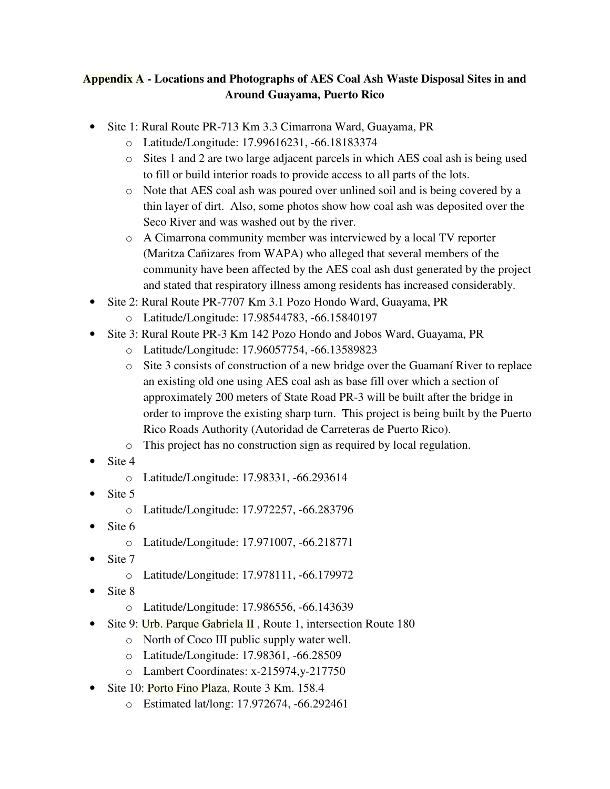## **Appendix A - Locations and Photographs of AES Coal Ash Waste Disposal Sites in and Around Guayama, Puerto Rico**

- Site 1: Rural Route PR-713 Km 3.3 Cimarrona Ward, Guayama, PR
	- o Latitude/Longitude: 17.99616231, -66.18183374
	- o Sites 1 and 2 are two large adjacent parcels in which AES coal ash is being used to fill or build interior roads to provide access to all parts of the lots.
	- o Note that AES coal ash was poured over unlined soil and is being covered by a thin layer of dirt. Also, some photos show how coal ash was deposited over the Seco River and was washed out by the river.
	- o A Cimarrona community member was interviewed by a local TV reporter (Maritza Cañizares from WAPA) who alleged that several members of the community have been affected by the AES coal ash dust generated by the project and stated that respiratory illness among residents has increased considerably.
- Site 2: Rural Route PR-7707 Km 3.1 Pozo Hondo Ward, Guayama, PR
	- o Latitude/Longitude: 17.98544783, -66.15840197
- Site 3: Rural Route PR-3 Km 142 Pozo Hondo and Jobos Ward, Guayama, PR
	- o Latitude/Longitude: 17.96057754, -66.13589823
	- o Site 3 consists of construction of a new bridge over the Guamaní River to replace an existing old one using AES coal ash as base fill over which a section of approximately 200 meters of State Road PR-3 will be built after the bridge in order to improve the existing sharp turn. This project is being built by the Puerto Rico Roads Authority (Autoridad de Carreteras de Puerto Rico).
	- o This project has no construction sign as required by local regulation.
- Site 4
	- o Latitude/Longitude: 17.98331, -66.293614
- Site 5
	- o Latitude/Longitude: 17.972257, -66.283796
- Site 6
	- o Latitude/Longitude: 17.971007, -66.218771
- Site 7
	- o Latitude/Longitude: 17.978111, -66.179972
- Site 8
	- o Latitude/Longitude: 17.986556, -66.143639
- Site 9: Urb. Parque Gabriela II, Route 1, intersection Route 180
	- o North of Coco III public supply water well.
	- o Latitude/Longitude: 17.98361, -66.28509
	- o Lambert Coordinates: x-215974,y-217750
- Site 10: Porto Fino Plaza, Route 3 Km. 158.4
	- o Estimated lat/long: 17.972674, -66.292461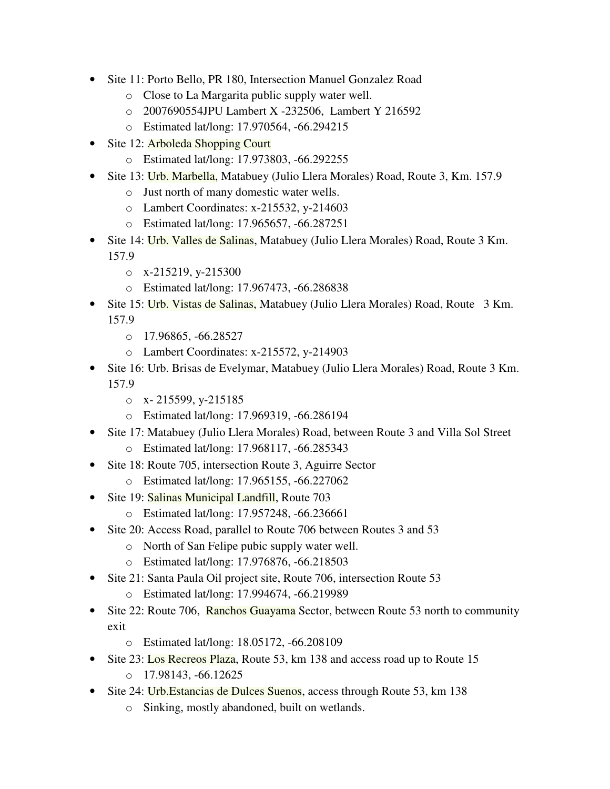- Site 11: Porto Bello, PR 180, Intersection Manuel Gonzalez Road
	- o Close to La Margarita public supply water well.
	- o 2007690554JPU Lambert X -232506, Lambert Y 216592
	- o Estimated lat/long: 17.970564, -66.294215
- Site 12: Arboleda Shopping Court
	- o Estimated lat/long: 17.973803, -66.292255
- Site 13: Urb. Marbella, Matabuey (Julio Llera Morales) Road, Route 3, Km. 157.9
	- o Just north of many domestic water wells.
	- o Lambert Coordinates: x-215532, y-214603
	- o Estimated lat/long: 17.965657, -66.287251
- Site 14: Urb. Valles de Salinas, Matabuey (Julio Llera Morales) Road, Route 3 Km. 157.9
	- o x-215219, y-215300
	- o Estimated lat/long: 17.967473, -66.286838
- Site 15: Urb. Vistas de Salinas, Matabuey (Julio Llera Morales) Road, Route 3 Km. 157.9
	- $O$  17.96865, -66.28527
	- o Lambert Coordinates: x-215572, y-214903
- Site 16: Urb. Brisas de Evelymar, Matabuey (Julio Llera Morales) Road, Route 3 Km. 157.9
	- $o$  x- 215599, y-215185
	- o Estimated lat/long: 17.969319, -66.286194
- Site 17: Matabuey (Julio Llera Morales) Road, between Route 3 and Villa Sol Street
	- o Estimated lat/long: 17.968117, -66.285343
- Site 18: Route 705, intersection Route 3, Aguirre Sector
	- o Estimated lat/long: 17.965155, -66.227062
- Site 19: Salinas Municipal Landfill, Route 703
	- o Estimated lat/long: 17.957248, -66.236661
- Site 20: Access Road, parallel to Route 706 between Routes 3 and 53
	- o North of San Felipe pubic supply water well.
	- o Estimated lat/long: 17.976876, -66.218503
- Site 21: Santa Paula Oil project site, Route 706, intersection Route 53
	- o Estimated lat/long: 17.994674, -66.219989
- Site 22: Route 706, Ranchos Guayama Sector, between Route 53 north to community exit
	- o Estimated lat/long: 18.05172, -66.208109
- Site 23: Los Recreos Plaza, Route 53, km 138 and access road up to Route 15  $\circ$  17.98143, -66.12625
- Site 24: Urb. Estancias de Dulces Suenos, access through Route 53, km 138
	- o Sinking, mostly abandoned, built on wetlands.